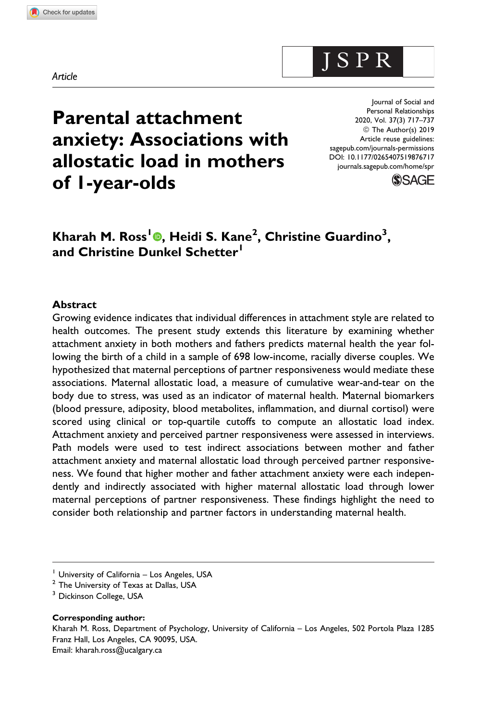# Parental attachment anxiety: Associations with allostatic load in mothers of 1-year-olds

Journal of Social and Personal Relationships 2020, Vol. 37(3) 717–737 © The Author(s) 2019 Article reuse guidelines: [sagepub.com/journals-permissions](https://sagepub.com/journals-permissions) [DOI: 10.1177/0265407519876717](https://doi.org/10.1177/0265407519876717) [journals.sagepub.com/home/spr](http://journals.sagepub.com/home/spr)



# Kharah M. Ross<sup>I</sup> ®[,](https://orcid.org/0000-0002-1472-5630) Heidi S. Kane<sup>2</sup>, Christine Guardino<sup>3</sup>, and Christine Dunkel Schetter<sup>1</sup>

#### Abstract

Growing evidence indicates that individual differences in attachment style are related to health outcomes. The present study extends this literature by examining whether attachment anxiety in both mothers and fathers predicts maternal health the year following the birth of a child in a sample of 698 low-income, racially diverse couples. We hypothesized that maternal perceptions of partner responsiveness would mediate these associations. Maternal allostatic load, a measure of cumulative wear-and-tear on the body due to stress, was used as an indicator of maternal health. Maternal biomarkers (blood pressure, adiposity, blood metabolites, inflammation, and diurnal cortisol) were scored using clinical or top-quartile cutoffs to compute an allostatic load index. Attachment anxiety and perceived partner responsiveness were assessed in interviews. Path models were used to test indirect associations between mother and father attachment anxiety and maternal allostatic load through perceived partner responsiveness. We found that higher mother and father attachment anxiety were each independently and indirectly associated with higher maternal allostatic load through lower maternal perceptions of partner responsiveness. These findings highlight the need to consider both relationship and partner factors in understanding maternal health.

#### Corresponding author:

Kharah M. Ross, Department of Psychology, University of California – Los Angeles, 502 Portola Plaza 1285 Franz Hall, Los Angeles, CA 90095, USA. Email: [kharah.ross@ucalgary.ca](mailto:kharah.ross@ucalgary.ca)

Article

University of California - Los Angeles, USA

<sup>2</sup> The University of Texas at Dallas, USA

<sup>&</sup>lt;sup>3</sup> Dickinson College, USA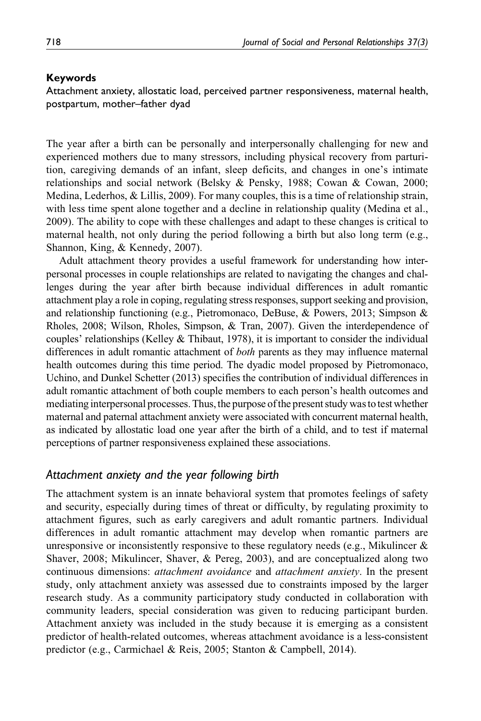#### Keywords

Attachment anxiety, allostatic load, perceived partner responsiveness, maternal health, postpartum, mother–father dyad

The year after a birth can be personally and interpersonally challenging for new and experienced mothers due to many stressors, including physical recovery from parturition, caregiving demands of an infant, sleep deficits, and changes in one's intimate relationships and social network (Belsky & Pensky, 1988; Cowan & Cowan, 2000; Medina, Lederhos, & Lillis, 2009). For many couples, this is a time of relationship strain, with less time spent alone together and a decline in relationship quality (Medina et al., 2009). The ability to cope with these challenges and adapt to these changes is critical to maternal health, not only during the period following a birth but also long term (e.g., Shannon, King, & Kennedy, 2007).

Adult attachment theory provides a useful framework for understanding how interpersonal processes in couple relationships are related to navigating the changes and challenges during the year after birth because individual differences in adult romantic attachment play a role in coping, regulating stress responses, support seeking and provision, and relationship functioning (e.g., Pietromonaco, DeBuse, & Powers, 2013; Simpson & Rholes, 2008; Wilson, Rholes, Simpson, & Tran, 2007). Given the interdependence of couples' relationships (Kelley & Thibaut, 1978), it is important to consider the individual differences in adult romantic attachment of *both* parents as they may influence maternal health outcomes during this time period. The dyadic model proposed by Pietromonaco, Uchino, and Dunkel Schetter (2013) specifies the contribution of individual differences in adult romantic attachment of both couple members to each person's health outcomes and mediating interpersonal processes. Thus, the purpose of the present study was to test whether maternal and paternal attachment anxiety were associated with concurrent maternal health, as indicated by allostatic load one year after the birth of a child, and to test if maternal perceptions of partner responsiveness explained these associations.

## Attachment anxiety and the year following birth

The attachment system is an innate behavioral system that promotes feelings of safety and security, especially during times of threat or difficulty, by regulating proximity to attachment figures, such as early caregivers and adult romantic partners. Individual differences in adult romantic attachment may develop when romantic partners are unresponsive or inconsistently responsive to these regulatory needs (e.g., Mikulincer  $\&$ Shaver, 2008; Mikulincer, Shaver, & Pereg, 2003), and are conceptualized along two continuous dimensions: *attachment avoidance* and *attachment anxiety*. In the present study, only attachment anxiety was assessed due to constraints imposed by the larger research study. As a community participatory study conducted in collaboration with community leaders, special consideration was given to reducing participant burden. Attachment anxiety was included in the study because it is emerging as a consistent predictor of health-related outcomes, whereas attachment avoidance is a less-consistent predictor (e.g., Carmichael & Reis, 2005; Stanton & Campbell, 2014).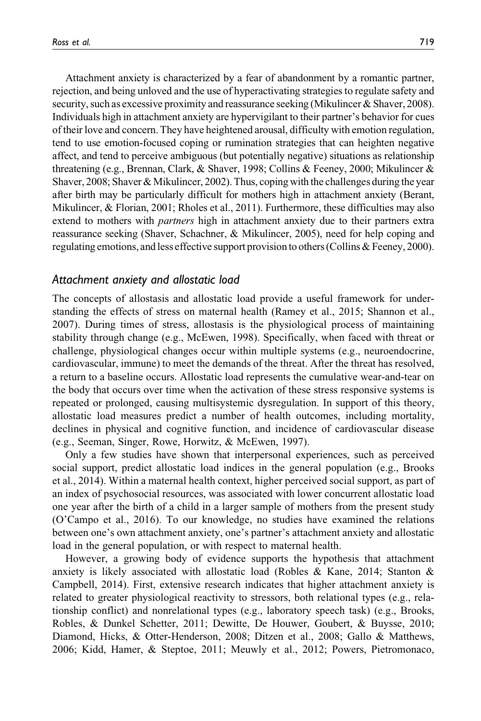Attachment anxiety is characterized by a fear of abandonment by a romantic partner, rejection, and being unloved and the use of hyperactivating strategies to regulate safety and security, such as excessive proximity and reassurance seeking (Mikulincer & Shaver, 2008). Individuals high in attachment anxiety are hypervigilant to their partner's behavior for cues of their love and concern. They have heightened arousal, difficulty with emotion regulation, tend to use emotion-focused coping or rumination strategies that can heighten negative affect, and tend to perceive ambiguous (but potentially negative) situations as relationship threatening (e.g., Brennan, Clark, & Shaver, 1998; Collins & Feeney, 2000; Mikulincer & Shaver, 2008; Shaver & Mikulincer, 2002). Thus, coping with the challenges during the year after birth may be particularly difficult for mothers high in attachment anxiety (Berant, Mikulincer, & Florian, 2001; Rholes et al., 2011). Furthermore, these difficulties may also extend to mothers with *partners* high in attachment anxiety due to their partners extra reassurance seeking (Shaver, Schachner, & Mikulincer, 2005), need for help coping and regulating emotions, and less effective support provisionto others (Collins & Feeney, 2000).

#### Attachment anxiety and allostatic load

The concepts of allostasis and allostatic load provide a useful framework for understanding the effects of stress on maternal health (Ramey et al., 2015; Shannon et al., 2007). During times of stress, allostasis is the physiological process of maintaining stability through change (e.g., McEwen, 1998). Specifically, when faced with threat or challenge, physiological changes occur within multiple systems (e.g., neuroendocrine, cardiovascular, immune) to meet the demands of the threat. After the threat has resolved, a return to a baseline occurs. Allostatic load represents the cumulative wear-and-tear on the body that occurs over time when the activation of these stress responsive systems is repeated or prolonged, causing multisystemic dysregulation. In support of this theory, allostatic load measures predict a number of health outcomes, including mortality, declines in physical and cognitive function, and incidence of cardiovascular disease (e.g., Seeman, Singer, Rowe, Horwitz, & McEwen, 1997).

Only a few studies have shown that interpersonal experiences, such as perceived social support, predict allostatic load indices in the general population (e.g., Brooks et al., 2014). Within a maternal health context, higher perceived social support, as part of an index of psychosocial resources, was associated with lower concurrent allostatic load one year after the birth of a child in a larger sample of mothers from the present study (O'Campo et al., 2016). To our knowledge, no studies have examined the relations between one's own attachment anxiety, one's partner's attachment anxiety and allostatic load in the general population, or with respect to maternal health.

However, a growing body of evidence supports the hypothesis that attachment anxiety is likely associated with allostatic load (Robles & Kane, 2014; Stanton & Campbell, 2014). First, extensive research indicates that higher attachment anxiety is related to greater physiological reactivity to stressors, both relational types (e.g., relationship conflict) and nonrelational types (e.g., laboratory speech task) (e.g., Brooks, Robles, & Dunkel Schetter, 2011; Dewitte, De Houwer, Goubert, & Buysse, 2010; Diamond, Hicks, & Otter-Henderson, 2008; Ditzen et al., 2008; Gallo & Matthews, 2006; Kidd, Hamer, & Steptoe, 2011; Meuwly et al., 2012; Powers, Pietromonaco,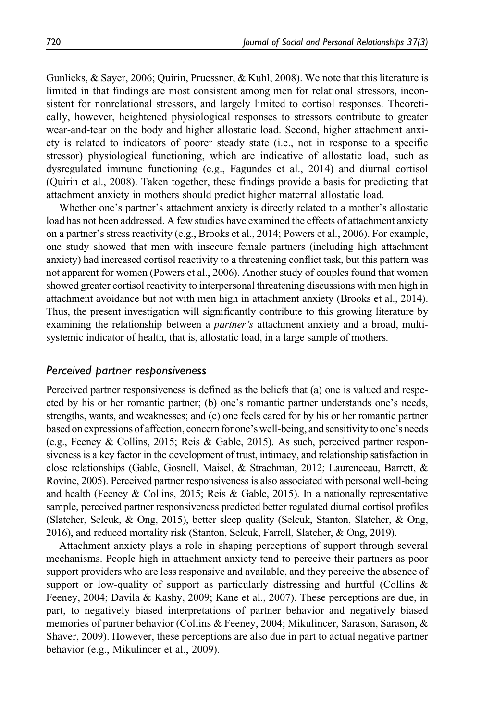Gunlicks, & Sayer, 2006; Quirin, Pruessner, & Kuhl, 2008). We note that this literature is limited in that findings are most consistent among men for relational stressors, inconsistent for nonrelational stressors, and largely limited to cortisol responses. Theoretically, however, heightened physiological responses to stressors contribute to greater wear-and-tear on the body and higher allostatic load. Second, higher attachment anxiety is related to indicators of poorer steady state (i.e., not in response to a specific stressor) physiological functioning, which are indicative of allostatic load, such as dysregulated immune functioning (e.g., Fagundes et al., 2014) and diurnal cortisol (Quirin et al., 2008). Taken together, these findings provide a basis for predicting that attachment anxiety in mothers should predict higher maternal allostatic load.

Whether one's partner's attachment anxiety is directly related to a mother's allostatic load has not been addressed. A few studies have examined the effects of attachment anxiety on a partner's stress reactivity (e.g., Brooks et al., 2014; Powers et al., 2006). For example, one study showed that men with insecure female partners (including high attachment anxiety) had increased cortisol reactivity to a threatening conflict task, but this pattern was not apparent for women (Powers et al., 2006). Another study of couples found that women showed greater cortisol reactivity to interpersonal threatening discussions with men high in attachment avoidance but not with men high in attachment anxiety (Brooks et al., 2014). Thus, the present investigation will significantly contribute to this growing literature by examining the relationship between a *partner's* attachment anxiety and a broad, multisystemic indicator of health, that is, allostatic load, in a large sample of mothers.

#### Perceived partner responsiveness

Perceived partner responsiveness is defined as the beliefs that (a) one is valued and respected by his or her romantic partner; (b) one's romantic partner understands one's needs, strengths, wants, and weaknesses; and (c) one feels cared for by his or her romantic partner based on expressions of affection, concern for one's well-being, and sensitivity to one's needs (e.g., Feeney & Collins, 2015; Reis & Gable, 2015). As such, perceived partner responsiveness is a key factor in the development of trust, intimacy, and relationship satisfaction in close relationships (Gable, Gosnell, Maisel, & Strachman, 2012; Laurenceau, Barrett, & Rovine, 2005). Perceived partner responsiveness is also associated with personal well-being and health (Feeney & Collins, 2015; Reis & Gable, 2015). In a nationally representative sample, perceived partner responsiveness predicted better regulated diurnal cortisol profiles (Slatcher, Selcuk, & Ong, 2015), better sleep quality (Selcuk, Stanton, Slatcher, & Ong, 2016), and reduced mortality risk (Stanton, Selcuk, Farrell, Slatcher, & Ong, 2019).

Attachment anxiety plays a role in shaping perceptions of support through several mechanisms. People high in attachment anxiety tend to perceive their partners as poor support providers who are less responsive and available, and they perceive the absence of support or low-quality of support as particularly distressing and hurtful (Collins & Feeney, 2004; Davila & Kashy, 2009; Kane et al., 2007). These perceptions are due, in part, to negatively biased interpretations of partner behavior and negatively biased memories of partner behavior (Collins & Feeney, 2004; Mikulincer, Sarason, Sarason, & Shaver, 2009). However, these perceptions are also due in part to actual negative partner behavior (e.g., Mikulincer et al., 2009).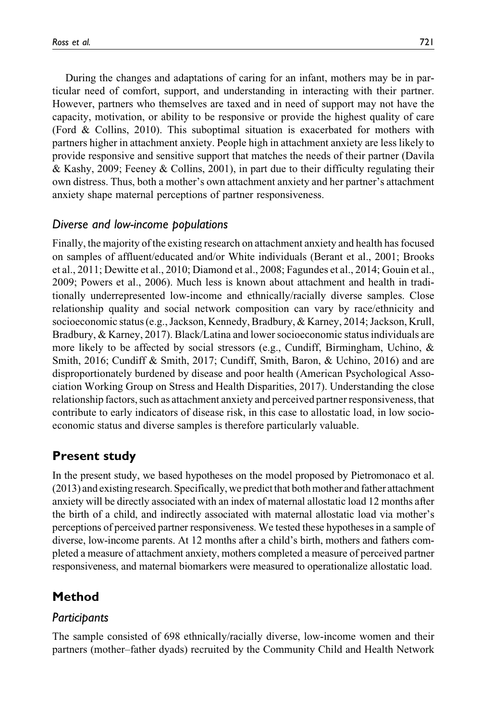During the changes and adaptations of caring for an infant, mothers may be in particular need of comfort, support, and understanding in interacting with their partner. However, partners who themselves are taxed and in need of support may not have the capacity, motivation, or ability to be responsive or provide the highest quality of care (Ford & Collins, 2010). This suboptimal situation is exacerbated for mothers with partners higher in attachment anxiety. People high in attachment anxiety are less likely to provide responsive and sensitive support that matches the needs of their partner (Davila & Kashy, 2009; Feeney & Collins, 2001), in part due to their difficulty regulating their own distress. Thus, both a mother's own attachment anxiety and her partner's attachment anxiety shape maternal perceptions of partner responsiveness.

## Diverse and low-income populations

Finally, the majority of the existing research on attachment anxiety and health has focused on samples of affluent/educated and/or White individuals (Berant et al., 2001; Brooks et al., 2011; Dewitte et al., 2010; Diamond et al., 2008; Fagundes et al., 2014; Gouin et al., 2009; Powers et al., 2006). Much less is known about attachment and health in traditionally underrepresented low-income and ethnically/racially diverse samples. Close relationship quality and social network composition can vary by race/ethnicity and socioeconomic status (e.g., Jackson, Kennedy, Bradbury, & Karney, 2014; Jackson, Krull, Bradbury, & Karney, 2017). Black/Latina and lower socioeconomic status individuals are more likely to be affected by social stressors (e.g., Cundiff, Birmingham, Uchino, & Smith, 2016; Cundiff & Smith, 2017; Cundiff, Smith, Baron, & Uchino, 2016) and are disproportionately burdened by disease and poor health (American Psychological Association Working Group on Stress and Health Disparities, 2017). Understanding the close relationship factors, such as attachment anxiety and perceived partner responsiveness, that contribute to early indicators of disease risk, in this case to allostatic load, in low socioeconomic status and diverse samples is therefore particularly valuable.

# Present study

In the present study, we based hypotheses on the model proposed by Pietromonaco et al. (2013) and existing research. Specifically, we predict that both mother and father attachment anxiety will be directly associated with an index of maternal allostatic load 12 months after the birth of a child, and indirectly associated with maternal allostatic load via mother's perceptions of perceived partner responsiveness. We tested these hypotheses in a sample of diverse, low-income parents. At 12 months after a child's birth, mothers and fathers completed a measure of attachment anxiety, mothers completed a measure of perceived partner responsiveness, and maternal biomarkers were measured to operationalize allostatic load.

# Method

# **Participants**

The sample consisted of 698 ethnically/racially diverse, low-income women and their partners (mother–father dyads) recruited by the Community Child and Health Network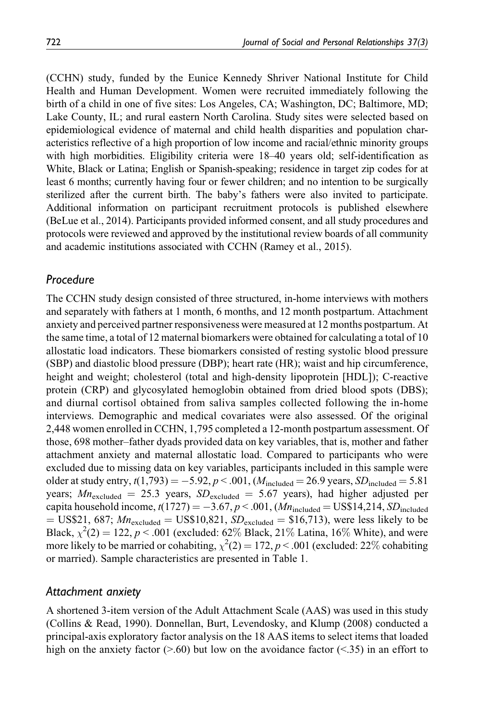(CCHN) study, funded by the Eunice Kennedy Shriver National Institute for Child Health and Human Development. Women were recruited immediately following the birth of a child in one of five sites: Los Angeles, CA; Washington, DC; Baltimore, MD; Lake County, IL; and rural eastern North Carolina. Study sites were selected based on epidemiological evidence of maternal and child health disparities and population characteristics reflective of a high proportion of low income and racial/ethnic minority groups with high morbidities. Eligibility criteria were 18–40 years old; self-identification as White, Black or Latina; English or Spanish-speaking; residence in target zip codes for at least 6 months; currently having four or fewer children; and no intention to be surgically sterilized after the current birth. The baby's fathers were also invited to participate. Additional information on participant recruitment protocols is published elsewhere (BeLue et al., 2014). Participants provided informed consent, and all study procedures and protocols were reviewed and approved by the institutional review boards of all community and academic institutions associated with CCHN (Ramey et al., 2015).

#### Procedure

The CCHN study design consisted of three structured, in-home interviews with mothers and separately with fathers at 1 month, 6 months, and 12 month postpartum. Attachment anxiety and perceived partner responsiveness were measured at 12 months postpartum. At the same time, a total of 12 maternal biomarkers were obtained for calculating a total of 10 allostatic load indicators. These biomarkers consisted of resting systolic blood pressure (SBP) and diastolic blood pressure (DBP); heart rate (HR); waist and hip circumference, height and weight; cholesterol (total and high-density lipoprotein [HDL]); C-reactive protein (CRP) and glycosylated hemoglobin obtained from dried blood spots (DBS); and diurnal cortisol obtained from saliva samples collected following the in-home interviews. Demographic and medical covariates were also assessed. Of the original 2,448 women enrolled in CCHN, 1,795 completed a 12-month postpartum assessment. Of those, 698 mother–father dyads provided data on key variables, that is, mother and father attachment anxiety and maternal allostatic load. Compared to participants who were excluded due to missing data on key variables, participants included in this sample were older at study entry,  $t(1,793) = -5.92, p < .001, (M_{\rm included} = 26.9 \,\mathrm{years}, SD_{\rm included} = 5.81$ years;  $Mn_{\text{excluded}} = 25.3$  years,  $SD_{\text{excluded}} = 5.67$  years), had higher adjusted per capita household income,  $t(1727) = -3.67, p < .001, (Mn_{\rm included} = \text{USS}14, 214, SD_{\text{included}})$  $=$  US\$21, 687;  $Mn_{\text{excluded}} =$  US\$10,821,  $SD_{\text{excluded}} =$  \$16,713), were less likely to be Black,  $\chi^2(2) = 122$ ,  $p < .001$  (excluded: 62% Black, 21% Latina, 16% White), and were more likely to be married or cohabiting,  $\chi^2(2) = 172$ ,  $p < .001$  (excluded: 22% cohabiting or married). Sample characteristics are presented in Table 1.

## Attachment anxiety

A shortened 3-item version of the Adult Attachment Scale (AAS) was used in this study (Collins & Read, 1990). Donnellan, Burt, Levendosky, and Klump (2008) conducted a principal-axis exploratory factor analysis on the 18 AAS items to select items that loaded high on the anxiety factor  $(0.60)$  but low on the avoidance factor  $(0.35)$  in an effort to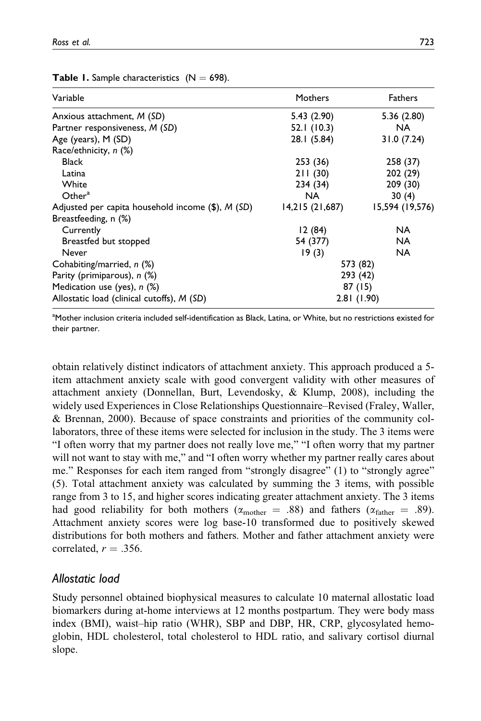| Variable                                          | <b>Mothers</b>  | <b>Fathers</b><br>5.36 (2.80) |  |  |
|---------------------------------------------------|-----------------|-------------------------------|--|--|
| Anxious attachment, M (SD)                        | 5.43(2.90)      |                               |  |  |
| Partner responsiveness, M (SD)                    | 52.1 (10.3)     | NA.                           |  |  |
| Age (years), M (SD)                               | 28.1 (5.84)     | 31.0(7.24)                    |  |  |
| Race/ethnicity, n (%)                             |                 |                               |  |  |
| <b>Black</b>                                      | 253 (36)        | 258 (37)                      |  |  |
| Latina                                            | 211(30)         | 202 (29)                      |  |  |
| White                                             | 234 (34)        | 209 (30)                      |  |  |
| Other <sup>a</sup>                                | <b>NA</b>       | 30 $(4)$                      |  |  |
| Adjusted per capita household income (\$), M (SD) | 14,215 (21,687) | 15,594 (19,576)               |  |  |
| Breastfeeding, n (%)                              |                 |                               |  |  |
| Currently                                         | 12(84)          | NA.                           |  |  |
| Breastfed but stopped                             | 54 (377)        | <b>NA</b>                     |  |  |
| Never                                             | 19(3)           | <b>NA</b>                     |  |  |
| Cohabiting/married, n (%)                         | 573 (82)        |                               |  |  |
| Parity (primiparous), n (%)                       | 293 (42)        |                               |  |  |
| Medication use (yes), $n$ (%)                     | 87(15)          |                               |  |  |
| Allostatic load (clinical cutoffs), M (SD)        | 2.81(1.90)      |                               |  |  |

**Table 1.** Sample characteristics  $(N = 698)$ .

<sup>a</sup>Mother inclusion criteria included self-identification as Black, Latina, or White, but no restrictions existed for their partner.

obtain relatively distinct indicators of attachment anxiety. This approach produced a 5 item attachment anxiety scale with good convergent validity with other measures of attachment anxiety (Donnellan, Burt, Levendosky, & Klump, 2008), including the widely used Experiences in Close Relationships Questionnaire–Revised (Fraley, Waller, & Brennan, 2000). Because of space constraints and priorities of the community collaborators, three of these items were selected for inclusion in the study. The 3 items were "I often worry that my partner does not really love me," "I often worry that my partner will not want to stay with me," and "I often worry whether my partner really cares about me." Responses for each item ranged from "strongly disagree" (1) to "strongly agree" (5). Total attachment anxiety was calculated by summing the 3 items, with possible range from 3 to 15, and higher scores indicating greater attachment anxiety. The 3 items had good reliability for both mothers ( $\alpha_{\text{mother}} = .88$ ) and fathers ( $\alpha_{\text{father}} = .89$ ). Attachment anxiety scores were log base-10 transformed due to positively skewed distributions for both mothers and fathers. Mother and father attachment anxiety were correlated,  $r = .356$ .

# Allostatic load

Study personnel obtained biophysical measures to calculate 10 maternal allostatic load biomarkers during at-home interviews at 12 months postpartum. They were body mass index (BMI), waist–hip ratio (WHR), SBP and DBP, HR, CRP, glycosylated hemoglobin, HDL cholesterol, total cholesterol to HDL ratio, and salivary cortisol diurnal slope.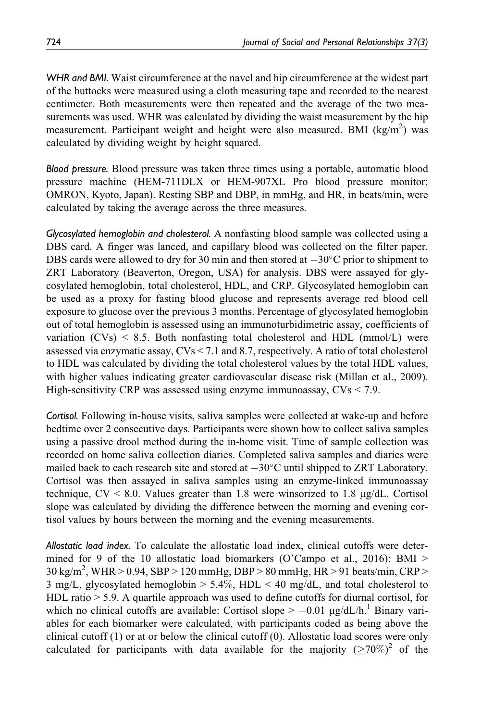WHR and BMI. Waist circumference at the navel and hip circumference at the widest part of the buttocks were measured using a cloth measuring tape and recorded to the nearest centimeter. Both measurements were then repeated and the average of the two measurements was used. WHR was calculated by dividing the waist measurement by the hip measurement. Participant weight and height were also measured. BMI (kg/m<sup>2</sup>) was calculated by dividing weight by height squared.

Blood pressure. Blood pressure was taken three times using a portable, automatic blood pressure machine (HEM-711DLX or HEM-907XL Pro blood pressure monitor; OMRON, Kyoto, Japan). Resting SBP and DBP, in mmHg, and HR, in beats/min, were calculated by taking the average across the three measures.

Glycosylated hemoglobin and cholesterol. A nonfasting blood sample was collected using a DBS card. A finger was lanced, and capillary blood was collected on the filter paper. DBS cards were allowed to dry for 30 min and then stored at  $-30^{\circ}$ C prior to shipment to ZRT Laboratory (Beaverton, Oregon, USA) for analysis. DBS were assayed for glycosylated hemoglobin, total cholesterol, HDL, and CRP. Glycosylated hemoglobin can be used as a proxy for fasting blood glucose and represents average red blood cell exposure to glucose over the previous 3 months. Percentage of glycosylated hemoglobin out of total hemoglobin is assessed using an immunoturbidimetric assay, coefficients of variation (CVs)  $\leq$  8.5. Both nonfasting total cholesterol and HDL (mmol/L) were assessed via enzymatic assay, CVs < 7.1 and 8.7, respectively. A ratio of total cholesterol to HDL was calculated by dividing the total cholesterol values by the total HDL values, with higher values indicating greater cardiovascular disease risk (Millan et al., 2009). High-sensitivity CRP was assessed using enzyme immunoassay,  $CVs < 7.9$ .

Cortisol. Following in-house visits, saliva samples were collected at wake-up and before bedtime over 2 consecutive days. Participants were shown how to collect saliva samples using a passive drool method during the in-home visit. Time of sample collection was recorded on home saliva collection diaries. Completed saliva samples and diaries were mailed back to each research site and stored at  $-30^{\circ}$ C until shipped to ZRT Laboratory. Cortisol was then assayed in saliva samples using an enzyme-linked immunoassay technique,  $CV < 8.0$ . Values greater than 1.8 were winsorized to 1.8  $\mu$ g/dL. Cortisol slope was calculated by dividing the difference between the morning and evening cortisol values by hours between the morning and the evening measurements.

Allostatic load index. To calculate the allostatic load index, clinical cutoffs were determined for 9 of the 10 allostatic load biomarkers (O'Campo et al., 2016): BMI > 30 kg/m<sup>2</sup> , WHR > 0.94, SBP > 120 mmHg, DBP > 80 mmHg, HR > 91 beats/min, CRP > 3 mg/L, glycosylated hemoglobin  $> 5.4\%$ , HDL  $< 40$  mg/dL, and total cholesterol to HDL ratio > 5.9. A quartile approach was used to define cutoffs for diurnal cortisol, for which no clinical cutoffs are available: Cortisol slope  $> -0.01$  µg/dL/h.<sup>1</sup> Binary variables for each biomarker were calculated, with participants coded as being above the clinical cutoff (1) or at or below the clinical cutoff (0). Allostatic load scores were only calculated for participants with data available for the majority  $(\geq 70\%)^2$  of the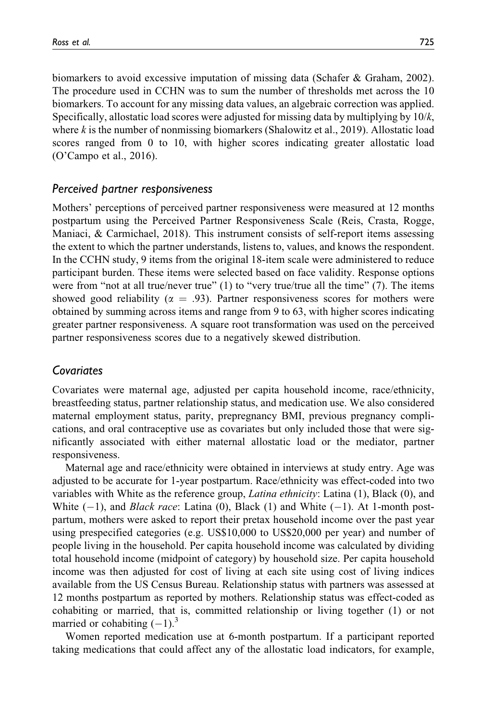biomarkers to avoid excessive imputation of missing data (Schafer & Graham, 2002). The procedure used in CCHN was to sum the number of thresholds met across the 10 biomarkers. To account for any missing data values, an algebraic correction was applied. Specifically, allostatic load scores were adjusted for missing data by multiplying by  $10/k$ , where k is the number of nonmissing biomarkers (Shalowitz et al., 2019). Allostatic load scores ranged from 0 to 10, with higher scores indicating greater allostatic load (O'Campo et al., 2016).

## Perceived partner responsiveness

Mothers' perceptions of perceived partner responsiveness were measured at 12 months postpartum using the Perceived Partner Responsiveness Scale (Reis, Crasta, Rogge, Maniaci, & Carmichael, 2018). This instrument consists of self-report items assessing the extent to which the partner understands, listens to, values, and knows the respondent. In the CCHN study, 9 items from the original 18-item scale were administered to reduce participant burden. These items were selected based on face validity. Response options were from "not at all true/never true"  $(1)$  to "very true/true all the time"  $(7)$ . The items showed good reliability ( $\alpha = .93$ ). Partner responsiveness scores for mothers were obtained by summing across items and range from 9 to 63, with higher scores indicating greater partner responsiveness. A square root transformation was used on the perceived partner responsiveness scores due to a negatively skewed distribution.

## **Covariates**

Covariates were maternal age, adjusted per capita household income, race/ethnicity, breastfeeding status, partner relationship status, and medication use. We also considered maternal employment status, parity, prepregnancy BMI, previous pregnancy complications, and oral contraceptive use as covariates but only included those that were significantly associated with either maternal allostatic load or the mediator, partner responsiveness.

Maternal age and race/ethnicity were obtained in interviews at study entry. Age was adjusted to be accurate for 1-year postpartum. Race/ethnicity was effect-coded into two variables with White as the reference group, Latina ethnicity: Latina (1), Black (0), and White  $(-1)$ , and *Black race*: Latina  $(0)$ , Black  $(1)$  and White  $(-1)$ . At 1-month postpartum, mothers were asked to report their pretax household income over the past year using prespecified categories (e.g. US\$10,000 to US\$20,000 per year) and number of people living in the household. Per capita household income was calculated by dividing total household income (midpoint of category) by household size. Per capita household income was then adjusted for cost of living at each site using cost of living indices available from the US Census Bureau. Relationship status with partners was assessed at 12 months postpartum as reported by mothers. Relationship status was effect-coded as cohabiting or married, that is, committed relationship or living together (1) or not married or cohabiting  $(-1)^3$ 

Women reported medication use at 6-month postpartum. If a participant reported taking medications that could affect any of the allostatic load indicators, for example,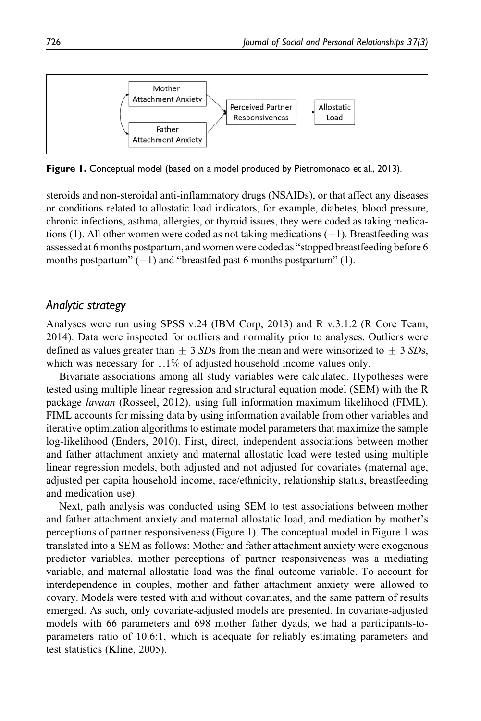

Figure 1. Conceptual model (based on a model produced by Pietromonaco et al., 2013).

steroids and non-steroidal anti-inflammatory drugs (NSAIDs), or that affect any diseases or conditions related to allostatic load indicators, for example, diabetes, blood pressure, chronic infections, asthma, allergies, or thyroid issues, they were coded as taking medications  $(1)$ . All other women were coded as not taking medications  $(-1)$ . Breastfeeding was assessed at 6 months postpartum, and women were coded as "stopped breastfeeding before 6 months postpartum"  $(-1)$  and "breastfed past 6 months postpartum"  $(1)$ .

#### Analytic strategy

Analyses were run using SPSS v.24 (IBM Corp, 2013) and R v.3.1.2 (R Core Team, 2014). Data were inspected for outliers and normality prior to analyses. Outliers were defined as values greater than  $+3$  SDs from the mean and were winsorized to  $+3$  SDs, which was necessary for  $1.1\%$  of adjusted household income values only.

Bivariate associations among all study variables were calculated. Hypotheses were tested using multiple linear regression and structural equation model (SEM) with the R package lavaan (Rosseel, 2012), using full information maximum likelihood (FIML). FIML accounts for missing data by using information available from other variables and iterative optimization algorithms to estimate model parameters that maximize the sample log-likelihood (Enders, 2010). First, direct, independent associations between mother and father attachment anxiety and maternal allostatic load were tested using multiple linear regression models, both adjusted and not adjusted for covariates (maternal age, adjusted per capita household income, race/ethnicity, relationship status, breastfeeding and medication use).

Next, path analysis was conducted using SEM to test associations between mother and father attachment anxiety and maternal allostatic load, and mediation by mother's perceptions of partner responsiveness (Figure 1). The conceptual model in Figure 1 was translated into a SEM as follows: Mother and father attachment anxiety were exogenous predictor variables, mother perceptions of partner responsiveness was a mediating variable, and maternal allostatic load was the final outcome variable. To account for interdependence in couples, mother and father attachment anxiety were allowed to covary. Models were tested with and without covariates, and the same pattern of results emerged. As such, only covariate-adjusted models are presented. In covariate-adjusted models with 66 parameters and 698 mother–father dyads, we had a participants-toparameters ratio of 10.6:1, which is adequate for reliably estimating parameters and test statistics (Kline, 2005).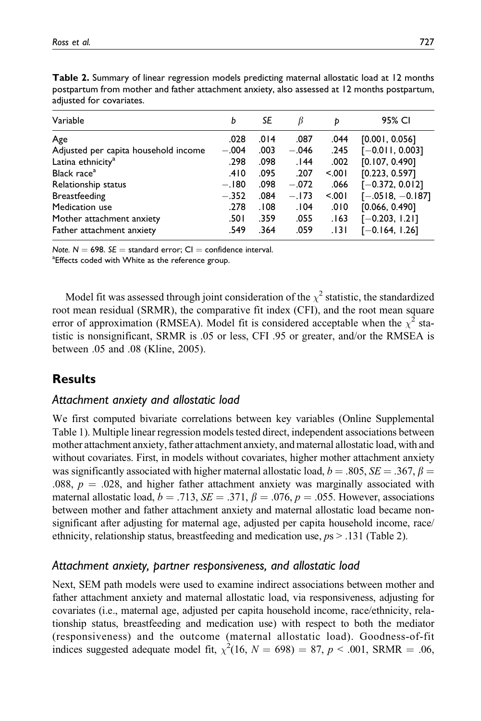| b       | SE   | β       | Þ      | 95% CI             |
|---------|------|---------|--------|--------------------|
| .028    | .014 | .087    | .044   | [0.001, 0.056]     |
| $-.004$ | .003 | $-.046$ | .245   | $[-0.011, 0.003]$  |
| .298    | .098 | 144.    | .002   | [0.107, 0.490]     |
| .410    | .095 | .207    | 5.001  | [0.223, 0.597]     |
| $-.180$ | .098 | $-.072$ | .066   | $[-0.372, 0.012]$  |
| $-.352$ | .084 | $-.173$ | 5.001  | $[-.0518, -0.187]$ |
| .278    | .108 | .104    | .010   | [0.066, 0.490]     |
| .501    | .359 | .055    | .163   | $[-0.203, 1.21]$   |
| .549    | .364 | .059    | . 13 1 | [-0.164, 1.26]     |
|         |      |         |        |                    |

Table 2. Summary of linear regression models predicting maternal allostatic load at 12 months postpartum from mother and father attachment anxiety, also assessed at 12 months postpartum, adjusted for covariates.

Note.  $N = 698$ . SE = standard error; CI = confidence interval.

<sup>a</sup> Effects coded with White as the reference group.

Model fit was assessed through joint consideration of the  $\chi^2$  statistic, the standardized root mean residual (SRMR), the comparative fit index (CFI), and the root mean square error of approximation (RMSEA). Model fit is considered acceptable when the  $\chi^2$  statistic is nonsignificant, SRMR is .05 or less, CFI .95 or greater, and/or the RMSEA is between .05 and .08 (Kline, 2005).

# Results

## Attachment anxiety and allostatic load

We first computed bivariate correlations between key variables (Online Supplemental Table 1). Multiple linear regression models tested direct, independent associations between mother attachment anxiety, father attachment anxiety, and maternal allostatic load, with and without covariates. First, in models without covariates, higher mother attachment anxiety was significantly associated with higher maternal allostatic load,  $b = .805$ ,  $SE = .367$ ,  $\beta =$ .088,  $p = .028$ , and higher father attachment anxiety was marginally associated with maternal allostatic load,  $b = .713$ ,  $SE = .371$ ,  $\beta = .076$ ,  $p = .055$ . However, associations between mother and father attachment anxiety and maternal allostatic load became nonsignificant after adjusting for maternal age, adjusted per capita household income, race/ ethnicity, relationship status, breastfeeding and medication use,  $ps > 0.131$  (Table 2).

## Attachment anxiety, partner responsiveness, and allostatic load

Next, SEM path models were used to examine indirect associations between mother and father attachment anxiety and maternal allostatic load, via responsiveness, adjusting for covariates (i.e., maternal age, adjusted per capita household income, race/ethnicity, relationship status, breastfeeding and medication use) with respect to both the mediator (responsiveness) and the outcome (maternal allostatic load). Goodness-of-fit indices suggested adequate model fit,  $\chi^2(16, N = 698) = 87, p < .001$ , SRMR = .06,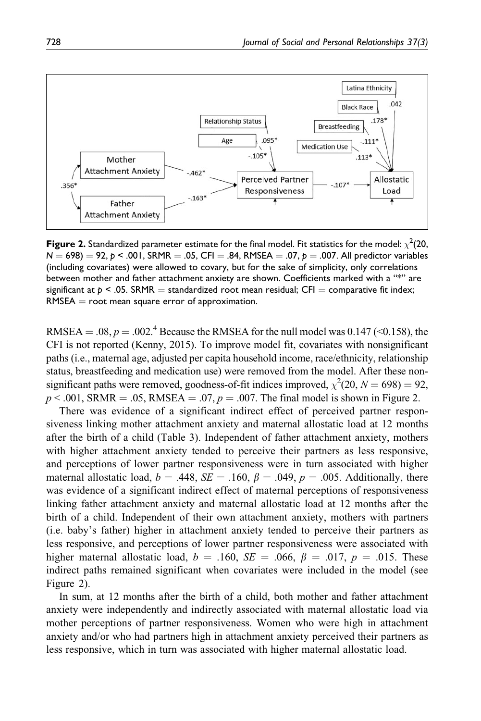

**Figure 2.** Standardized parameter estimate for the final model. Fit statistics for the model:  $\chi^2$ (20,  $N = 698$ )  $= 92$ ,  $p < .001$ , SRMR  $= .05$ , CFI  $= .84$ , RMSEA  $= .07$ ,  $p = .007$ . All predictor variables (including covariates) were allowed to covary, but for the sake of simplicity, only correlations between mother and father attachment anxiety are shown. Coefficients marked with a "\*" are significant at  $p < .05$ . SRMR = standardized root mean residual; CFI = comparative fit index;  $RMSEA = root$  mean square error of approximation.

RMSEA = .08,  $p = .002$ .<sup>4</sup> Because the RMSEA for the null model was 0.147 (<0.158), the CFI is not reported (Kenny, 2015). To improve model fit, covariates with nonsignificant paths (i.e., maternal age, adjusted per capita household income, race/ethnicity, relationship status, breastfeeding and medication use) were removed from the model. After these nonsignificant paths were removed, goodness-of-fit indices improved,  $\chi^2(20, N = 698) = 92$ ,  $p < .001$ , SRMR =  $.05$ , RMSEA =  $.07$ ,  $p = .007$ . The final model is shown in Figure 2.

There was evidence of a significant indirect effect of perceived partner responsiveness linking mother attachment anxiety and maternal allostatic load at 12 months after the birth of a child (Table 3). Independent of father attachment anxiety, mothers with higher attachment anxiety tended to perceive their partners as less responsive, and perceptions of lower partner responsiveness were in turn associated with higher maternal allostatic load,  $b = .448$ ,  $SE = .160$ ,  $\beta = .049$ ,  $p = .005$ . Additionally, there was evidence of a significant indirect effect of maternal perceptions of responsiveness linking father attachment anxiety and maternal allostatic load at 12 months after the birth of a child. Independent of their own attachment anxiety, mothers with partners (i.e. baby's father) higher in attachment anxiety tended to perceive their partners as less responsive, and perceptions of lower partner responsiveness were associated with higher maternal allostatic load,  $b = .160$ ,  $SE = .066$ ,  $\beta = .017$ ,  $p = .015$ . These indirect paths remained significant when covariates were included in the model (see Figure 2).

In sum, at 12 months after the birth of a child, both mother and father attachment anxiety were independently and indirectly associated with maternal allostatic load via mother perceptions of partner responsiveness. Women who were high in attachment anxiety and/or who had partners high in attachment anxiety perceived their partners as less responsive, which in turn was associated with higher maternal allostatic load.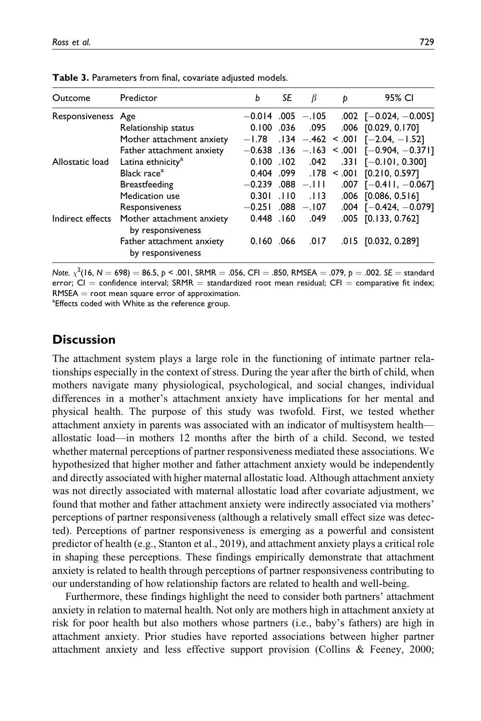| Outcome            | Predictor                                      | b                    | SE   | β    | Þ | 95% CI                                       |
|--------------------|------------------------------------------------|----------------------|------|------|---|----------------------------------------------|
| Responsiveness Age |                                                | $-0.014$ .005 $-105$ |      |      |   | $.002$ [ $-0.024, -0.005$ ]                  |
|                    | Relationship status                            | $0.100$ .036         |      | .095 |   | .006 [0.029, 0.170]                          |
|                    | Mother attachment anxiety                      |                      |      |      |   | $-1.78$ .134 $-.462$ < .001 [-2.04, -1.52]   |
|                    | Father attachment anxiety                      |                      |      |      |   | $-0.638$ .136 $-.163$ < 001 [-0.904, -0.371] |
| Allostatic load    | Latina ethnicity <sup>a</sup>                  | $0.100$ .102         |      | .042 |   | $.331$ [-0.101, 0.300]                       |
|                    | Black race <sup>a</sup>                        | 0.404 .099           |      |      |   | $.178 \le .001$ [0.210, 0.597]               |
|                    | Breastfeeding                                  | $-0.239$ .088 $-111$ |      |      |   | $.007$ [-0.411, -0.067]                      |
|                    | Medication use                                 | 0.301                | .110 | .113 |   | $.006$ [0.086, 0.516]                        |
|                    | Responsiveness                                 | $-0.251$ .088 $-107$ |      |      |   | .004 $[-0.424, -0.079]$                      |
| Indirect effects   | Mother attachment anxiety<br>by responsiveness | $0.448$ . 160        |      | .049 |   | .005 [0.133, 0.762]                          |
|                    | Father attachment anxiety<br>by responsiveness | $0.160$ .066         |      | .017 |   | $.015$ [0.032, 0.289]                        |

Table 3. Parameters from final, covariate adjusted models.

Note.  $\chi^2($ 16, N  $=$  698)  $=$  86.5,  $p$  < .001, SRMR  $=$  .056, CFI  $=$  .850, RMSEA  $=$  .079,  $p=$  .002. SE  $=$  standard error;  $CI =$  confidence interval; SRMR = standardized root mean residual; CFI = comparative fit index;  $RMSEA = root$  mean square error of approximation.

<sup>a</sup> Effects coded with White as the reference group.

## **Discussion**

The attachment system plays a large role in the functioning of intimate partner relationships especially in the context of stress. During the year after the birth of child, when mothers navigate many physiological, psychological, and social changes, individual differences in a mother's attachment anxiety have implications for her mental and physical health. The purpose of this study was twofold. First, we tested whether attachment anxiety in parents was associated with an indicator of multisystem health allostatic load—in mothers 12 months after the birth of a child. Second, we tested whether maternal perceptions of partner responsiveness mediated these associations. We hypothesized that higher mother and father attachment anxiety would be independently and directly associated with higher maternal allostatic load. Although attachment anxiety was not directly associated with maternal allostatic load after covariate adjustment, we found that mother and father attachment anxiety were indirectly associated via mothers' perceptions of partner responsiveness (although a relatively small effect size was detected). Perceptions of partner responsiveness is emerging as a powerful and consistent predictor of health (e.g., Stanton et al., 2019), and attachment anxiety plays a critical role in shaping these perceptions. These findings empirically demonstrate that attachment anxiety is related to health through perceptions of partner responsiveness contributing to our understanding of how relationship factors are related to health and well-being.

Furthermore, these findings highlight the need to consider both partners' attachment anxiety in relation to maternal health. Not only are mothers high in attachment anxiety at risk for poor health but also mothers whose partners (i.e., baby's fathers) are high in attachment anxiety. Prior studies have reported associations between higher partner attachment anxiety and less effective support provision (Collins & Feeney, 2000;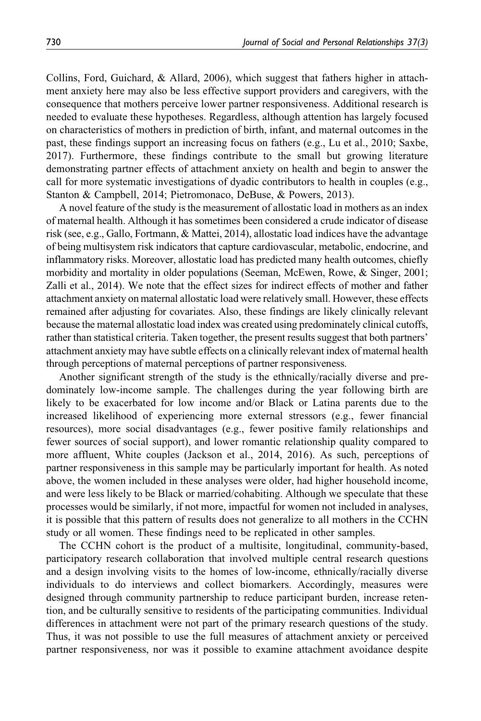Collins, Ford, Guichard, & Allard, 2006), which suggest that fathers higher in attachment anxiety here may also be less effective support providers and caregivers, with the consequence that mothers perceive lower partner responsiveness. Additional research is needed to evaluate these hypotheses. Regardless, although attention has largely focused on characteristics of mothers in prediction of birth, infant, and maternal outcomes in the past, these findings support an increasing focus on fathers (e.g., Lu et al., 2010; Saxbe, 2017). Furthermore, these findings contribute to the small but growing literature demonstrating partner effects of attachment anxiety on health and begin to answer the call for more systematic investigations of dyadic contributors to health in couples (e.g., Stanton & Campbell, 2014; Pietromonaco, DeBuse, & Powers, 2013).

A novel feature of the study is the measurement of allostatic load in mothers as an index of maternal health. Although it has sometimes been considered a crude indicator of disease risk (see, e.g., Gallo, Fortmann, & Mattei, 2014), allostatic load indices have the advantage of being multisystem risk indicators that capture cardiovascular, metabolic, endocrine, and inflammatory risks. Moreover, allostatic load has predicted many health outcomes, chiefly morbidity and mortality in older populations (Seeman, McEwen, Rowe, & Singer, 2001; Zalli et al., 2014). We note that the effect sizes for indirect effects of mother and father attachment anxiety on maternal allostatic load were relatively small. However, these effects remained after adjusting for covariates. Also, these findings are likely clinically relevant because the maternal allostatic load index was created using predominately clinical cutoffs, rather than statistical criteria. Taken together, the present results suggest that both partners' attachment anxiety may have subtle effects on a clinically relevant index of maternal health through perceptions of maternal perceptions of partner responsiveness.

Another significant strength of the study is the ethnically/racially diverse and predominately low-income sample. The challenges during the year following birth are likely to be exacerbated for low income and/or Black or Latina parents due to the increased likelihood of experiencing more external stressors (e.g., fewer financial resources), more social disadvantages (e.g., fewer positive family relationships and fewer sources of social support), and lower romantic relationship quality compared to more affluent, White couples (Jackson et al., 2014, 2016). As such, perceptions of partner responsiveness in this sample may be particularly important for health. As noted above, the women included in these analyses were older, had higher household income, and were less likely to be Black or married/cohabiting. Although we speculate that these processes would be similarly, if not more, impactful for women not included in analyses, it is possible that this pattern of results does not generalize to all mothers in the CCHN study or all women. These findings need to be replicated in other samples.

The CCHN cohort is the product of a multisite, longitudinal, community-based, participatory research collaboration that involved multiple central research questions and a design involving visits to the homes of low-income, ethnically/racially diverse individuals to do interviews and collect biomarkers. Accordingly, measures were designed through community partnership to reduce participant burden, increase retention, and be culturally sensitive to residents of the participating communities. Individual differences in attachment were not part of the primary research questions of the study. Thus, it was not possible to use the full measures of attachment anxiety or perceived partner responsiveness, nor was it possible to examine attachment avoidance despite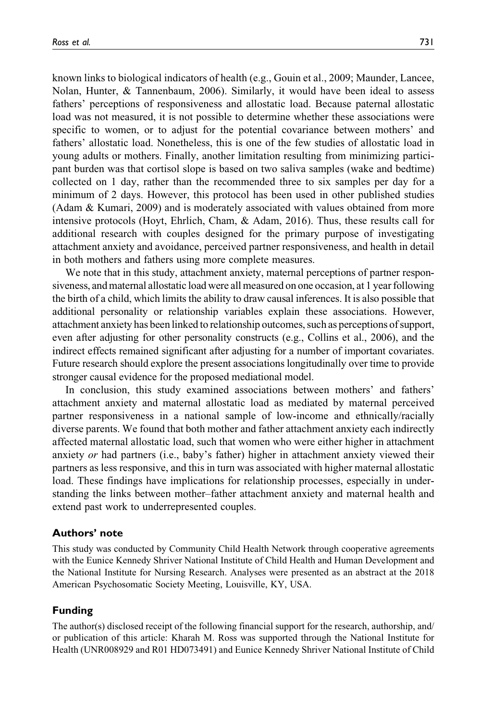known links to biological indicators of health (e.g., Gouin et al., 2009; Maunder, Lancee, Nolan, Hunter, & Tannenbaum, 2006). Similarly, it would have been ideal to assess fathers' perceptions of responsiveness and allostatic load. Because paternal allostatic load was not measured, it is not possible to determine whether these associations were specific to women, or to adjust for the potential covariance between mothers' and fathers' allostatic load. Nonetheless, this is one of the few studies of allostatic load in young adults or mothers. Finally, another limitation resulting from minimizing participant burden was that cortisol slope is based on two saliva samples (wake and bedtime) collected on 1 day, rather than the recommended three to six samples per day for a minimum of 2 days. However, this protocol has been used in other published studies (Adam & Kumari, 2009) and is moderately associated with values obtained from more intensive protocols (Hoyt, Ehrlich, Cham, & Adam, 2016). Thus, these results call for additional research with couples designed for the primary purpose of investigating attachment anxiety and avoidance, perceived partner responsiveness, and health in detail in both mothers and fathers using more complete measures.

We note that in this study, attachment anxiety, maternal perceptions of partner responsiveness, and maternal allostatic load were all measured on one occasion, at 1 year following the birth of a child, which limits the ability to draw causal inferences. It is also possible that additional personality or relationship variables explain these associations. However, attachment anxiety has been linked to relationship outcomes, such as perceptions of support, even after adjusting for other personality constructs (e.g., Collins et al., 2006), and the indirect effects remained significant after adjusting for a number of important covariates. Future research should explore the present associations longitudinally over time to provide stronger causal evidence for the proposed mediational model.

In conclusion, this study examined associations between mothers' and fathers' attachment anxiety and maternal allostatic load as mediated by maternal perceived partner responsiveness in a national sample of low-income and ethnically/racially diverse parents. We found that both mother and father attachment anxiety each indirectly affected maternal allostatic load, such that women who were either higher in attachment anxiety or had partners (i.e., baby's father) higher in attachment anxiety viewed their partners as less responsive, and this in turn was associated with higher maternal allostatic load. These findings have implications for relationship processes, especially in understanding the links between mother–father attachment anxiety and maternal health and extend past work to underrepresented couples.

#### Authors' note

This study was conducted by Community Child Health Network through cooperative agreements with the Eunice Kennedy Shriver National Institute of Child Health and Human Development and the National Institute for Nursing Research. Analyses were presented as an abstract at the 2018 American Psychosomatic Society Meeting, Louisville, KY, USA.

#### Funding

The author(s) disclosed receipt of the following financial support for the research, authorship, and/ or publication of this article: Kharah M. Ross was supported through the National Institute for Health (UNR008929 and R01 HD073491) and Eunice Kennedy Shriver National Institute of Child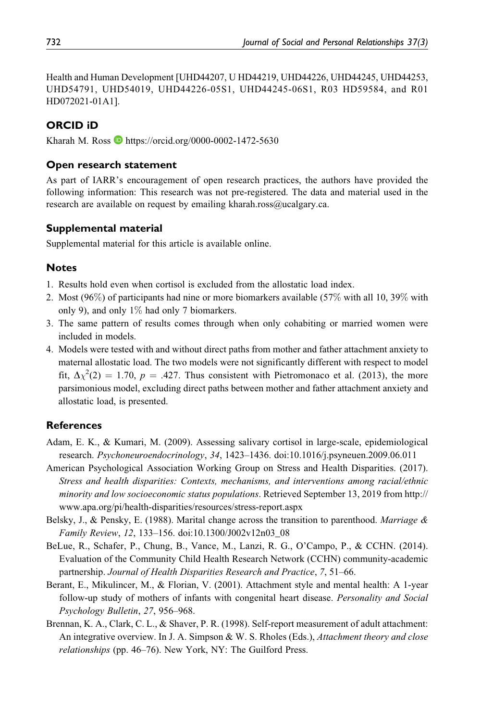Health and Human Development [UHD44207, U HD44219, UHD44226, UHD44245, UHD44253, UHD54791, UHD54019, UHD44226-05S1, UHD44245-06S1, R03 HD59584, and R01 HD072021-01A1].

## ORCID iD

Kharah M. Ross  $\blacksquare$  <https://orcid.org/0000-0002-1472-5630>

#### Open research statement

As part of IARR's encouragement of open research practices, the authors have provided the following information: This research was not pre-registered. The data and material used in the research are available on request by emailing kharah.ross@ucalgary.ca.

## Supplemental material

Supplemental material for this article is available online.

#### **Notes**

- 1. Results hold even when cortisol is excluded from the allostatic load index.
- 2. Most (96%) of participants had nine or more biomarkers available (57% with all 10, 39% with only 9), and only 1% had only 7 biomarkers.
- 3. The same pattern of results comes through when only cohabiting or married women were included in models.
- 4. Models were tested with and without direct paths from mother and father attachment anxiety to maternal allostatic load. The two models were not significantly different with respect to model fit,  $\Delta \chi^2(2) = 1.70$ ,  $p = .427$ . Thus consistent with Pietromonaco et al. (2013), the more parsimonious model, excluding direct paths between mother and father attachment anxiety and allostatic load, is presented.

## **References**

- Adam, E. K., & Kumari, M. (2009). Assessing salivary cortisol in large-scale, epidemiological research. Psychoneuroendocrinology, 34, 1423–1436. doi:10.1016/j.psyneuen.2009.06.011
- American Psychological Association Working Group on Stress and Health Disparities. (2017). Stress and health disparities: Contexts, mechanisms, and interventions among racial/ethnic minority and low socioeconomic status populations. Retrieved September 13, 2019 from [http://](http://www.apa.org/pi/health-disparities/resources/stress-report.aspx) [www.apa.org/pi/health-disparities/resources/stress-report.aspx](http://www.apa.org/pi/health-disparities/resources/stress-report.aspx)
- Belsky, J., & Pensky, E. (1988). Marital change across the transition to parenthood. Marriage  $\&$ Family Review, 12, 133–156. doi:10.1300/J002v12n03\_08
- BeLue, R., Schafer, P., Chung, B., Vance, M., Lanzi, R. G., O'Campo, P., & CCHN. (2014). Evaluation of the Community Child Health Research Network (CCHN) community-academic partnership. Journal of Health Disparities Research and Practice, 7, 51–66.
- Berant, E., Mikulincer, M., & Florian, V. (2001). Attachment style and mental health: A 1-year follow-up study of mothers of infants with congenital heart disease. Personality and Social Psychology Bulletin, 27, 956–968.
- Brennan, K. A., Clark, C. L., & Shaver, P. R. (1998). Self-report measurement of adult attachment: An integrative overview. In J. A. Simpson & W. S. Rholes (Eds.), *Attachment theory and close* relationships (pp. 46–76). New York, NY: The Guilford Press.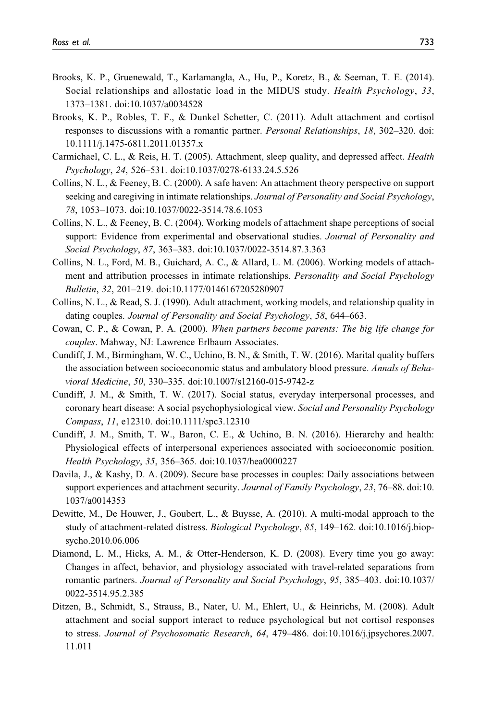- Brooks, K. P., Gruenewald, T., Karlamangla, A., Hu, P., Koretz, B., & Seeman, T. E. (2014). Social relationships and allostatic load in the MIDUS study. *Health Psychology*, 33, 1373–1381. doi:10.1037/a0034528
- Brooks, K. P., Robles, T. F., & Dunkel Schetter, C. (2011). Adult attachment and cortisol responses to discussions with a romantic partner. Personal Relationships, 18, 302–320. doi: 10.1111/j.1475-6811.2011.01357.x
- Carmichael, C. L., & Reis, H. T. (2005). Attachment, sleep quality, and depressed affect. Health Psychology, 24, 526–531. doi:10.1037/0278-6133.24.5.526
- Collins, N. L., & Feeney, B. C. (2000). A safe haven: An attachment theory perspective on support seeking and caregiving in intimate relationships. Journal of Personality and Social Psychology, 78, 1053–1073. doi:10.1037/0022-3514.78.6.1053
- Collins, N. L., & Feeney, B. C. (2004). Working models of attachment shape perceptions of social support: Evidence from experimental and observational studies. Journal of Personality and Social Psychology, 87, 363–383. doi:10.1037/0022-3514.87.3.363
- Collins, N. L., Ford, M. B., Guichard, A. C., & Allard, L. M. (2006). Working models of attachment and attribution processes in intimate relationships. Personality and Social Psychology Bulletin, 32, 201–219. doi:10.1177/0146167205280907
- Collins, N. L., & Read, S. J. (1990). Adult attachment, working models, and relationship quality in dating couples. Journal of Personality and Social Psychology, 58, 644–663.
- Cowan, C. P., & Cowan, P. A. (2000). When partners become parents: The big life change for couples. Mahway, NJ: Lawrence Erlbaum Associates.
- Cundiff, J. M., Birmingham, W. C., Uchino, B. N., & Smith, T. W. (2016). Marital quality buffers the association between socioeconomic status and ambulatory blood pressure. Annals of Behavioral Medicine, 50, 330–335. doi:10.1007/s12160-015-9742-z
- Cundiff, J. M., & Smith, T. W. (2017). Social status, everyday interpersonal processes, and coronary heart disease: A social psychophysiological view. Social and Personality Psychology Compass, 11, e12310. doi:10.1111/spc3.12310
- Cundiff, J. M., Smith, T. W., Baron, C. E., & Uchino, B. N. (2016). Hierarchy and health: Physiological effects of interpersonal experiences associated with socioeconomic position. Health Psychology, 35, 356–365. doi:10.1037/hea0000227
- Davila, J., & Kashy, D. A. (2009). Secure base processes in couples: Daily associations between support experiences and attachment security. Journal of Family Psychology, 23, 76–88. doi:10. 1037/a0014353
- Dewitte, M., De Houwer, J., Goubert, L., & Buysse, A. (2010). A multi-modal approach to the study of attachment-related distress. Biological Psychology, 85, 149–162. doi:10.1016/j.biopsycho.2010.06.006
- Diamond, L. M., Hicks, A. M., & Otter-Henderson, K. D. (2008). Every time you go away: Changes in affect, behavior, and physiology associated with travel-related separations from romantic partners. Journal of Personality and Social Psychology, 95, 385–403. doi:10.1037/ 0022-3514.95.2.385
- Ditzen, B., Schmidt, S., Strauss, B., Nater, U. M., Ehlert, U., & Heinrichs, M. (2008). Adult attachment and social support interact to reduce psychological but not cortisol responses to stress. Journal of Psychosomatic Research, 64, 479-486. doi:10.1016/j.jpsychores.2007. 11.011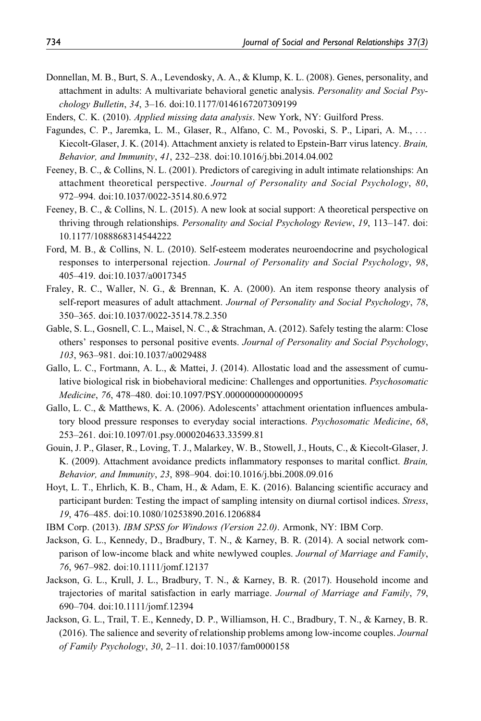- Donnellan, M. B., Burt, S. A., Levendosky, A. A., & Klump, K. L. (2008). Genes, personality, and attachment in adults: A multivariate behavioral genetic analysis. Personality and Social Psychology Bulletin, 34, 3–16. doi:10.1177/0146167207309199
- Enders, C. K. (2010). Applied missing data analysis. New York, NY: Guilford Press.
- Fagundes, C. P., Jaremka, L. M., Glaser, R., Alfano, C. M., Povoski, S. P., Lipari, A. M., ... Kiecolt-Glaser, J. K. (2014). Attachment anxiety is related to Epstein-Barr virus latency. Brain, Behavior, and Immunity, 41, 232–238. doi:10.1016/j.bbi.2014.04.002
- Feeney, B. C., & Collins, N. L. (2001). Predictors of caregiving in adult intimate relationships: An attachment theoretical perspective. Journal of Personality and Social Psychology, 80, 972–994. doi:10.1037/0022-3514.80.6.972
- Feeney, B. C., & Collins, N. L. (2015). A new look at social support: A theoretical perspective on thriving through relationships. Personality and Social Psychology Review, 19, 113–147. doi: 10.1177/1088868314544222
- Ford, M. B., & Collins, N. L. (2010). Self-esteem moderates neuroendocrine and psychological responses to interpersonal rejection. Journal of Personality and Social Psychology, 98, 405–419. doi:10.1037/a0017345
- Fraley, R. C., Waller, N. G., & Brennan, K. A. (2000). An item response theory analysis of self-report measures of adult attachment. Journal of Personality and Social Psychology, 78, 350–365. doi:10.1037/0022-3514.78.2.350
- Gable, S. L., Gosnell, C. L., Maisel, N. C., & Strachman, A. (2012). Safely testing the alarm: Close others' responses to personal positive events. Journal of Personality and Social Psychology, 103, 963–981. doi:10.1037/a0029488
- Gallo, L. C., Fortmann, A. L., & Mattei, J. (2014). Allostatic load and the assessment of cumulative biological risk in biobehavioral medicine: Challenges and opportunities. *Psychosomatic* Medicine, 76, 478–480. doi:10.1097/PSY.0000000000000095
- Gallo, L. C., & Matthews, K. A. (2006). Adolescents' attachment orientation influences ambulatory blood pressure responses to everyday social interactions. *Psychosomatic Medicine*, 68, 253–261. doi:10.1097/01.psy.0000204633.33599.81
- Gouin, J. P., Glaser, R., Loving, T. J., Malarkey, W. B., Stowell, J., Houts, C., & Kiecolt-Glaser, J. K. (2009). Attachment avoidance predicts inflammatory responses to marital conflict. Brain, Behavior, and Immunity, 23, 898–904. doi:10.1016/j.bbi.2008.09.016
- Hoyt, L. T., Ehrlich, K. B., Cham, H., & Adam, E. K. (2016). Balancing scientific accuracy and participant burden: Testing the impact of sampling intensity on diurnal cortisol indices. Stress, 19, 476–485. doi:10.1080/10253890.2016.1206884
- IBM Corp. (2013). IBM SPSS for Windows (Version 22.0). Armonk, NY: IBM Corp.
- Jackson, G. L., Kennedy, D., Bradbury, T. N., & Karney, B. R. (2014). A social network comparison of low-income black and white newlywed couples. Journal of Marriage and Family, 76, 967–982. doi:10.1111/jomf.12137
- Jackson, G. L., Krull, J. L., Bradbury, T. N., & Karney, B. R. (2017). Household income and trajectories of marital satisfaction in early marriage. Journal of Marriage and Family, 79, 690–704. doi:10.1111/jomf.12394
- Jackson, G. L., Trail, T. E., Kennedy, D. P., Williamson, H. C., Bradbury, T. N., & Karney, B. R. (2016). The salience and severity of relationship problems among low-income couples. Journal of Family Psychology, 30, 2–11. doi:10.1037/fam0000158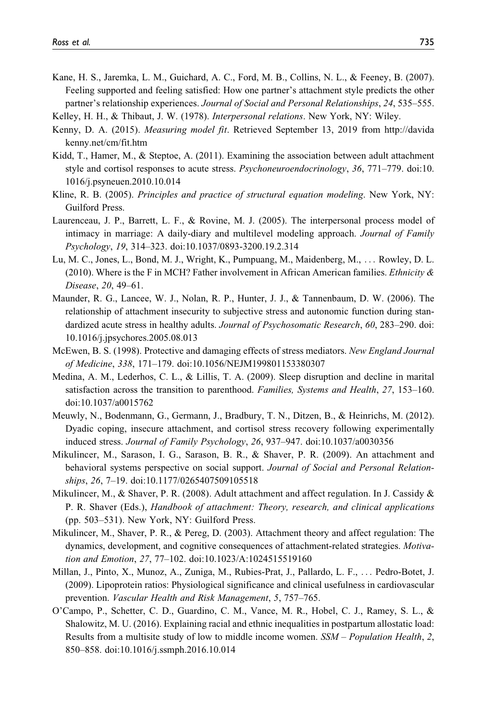- Kane, H. S., Jaremka, L. M., Guichard, A. C., Ford, M. B., Collins, N. L., & Feeney, B. (2007). Feeling supported and feeling satisfied: How one partner's attachment style predicts the other partner's relationship experiences. Journal of Social and Personal Relationships, 24, 535–555.
- Kelley, H. H., & Thibaut, J. W. (1978). Interpersonal relations. New York, NY: Wiley.
- Kenny, D. A. (2015). Measuring model fit. Retrieved September 13, 2019 from [http://davida](http://davidakenny.net/cm/fit.htm) [kenny.net/cm/fit.htm](http://davidakenny.net/cm/fit.htm)
- Kidd, T., Hamer, M., & Steptoe, A. (2011). Examining the association between adult attachment style and cortisol responses to acute stress. Psychoneuroendocrinology, 36, 771–779. doi:10. 1016/j.psyneuen.2010.10.014
- Kline, R. B. (2005). Principles and practice of structural equation modeling. New York, NY: Guilford Press.
- Laurenceau, J. P., Barrett, L. F., & Rovine, M. J. (2005). The interpersonal process model of intimacy in marriage: A daily-diary and multilevel modeling approach. Journal of Family Psychology, 19, 314–323. doi:10.1037/0893-3200.19.2.314
- Lu, M. C., Jones, L., Bond, M. J., Wright, K., Pumpuang, M., Maidenberg, M., ... Rowley, D. L. (2010). Where is the F in MCH? Father involvement in African American families. *Ethnicity*  $\&$ Disease, 20, 49–61.
- Maunder, R. G., Lancee, W. J., Nolan, R. P., Hunter, J. J., & Tannenbaum, D. W. (2006). The relationship of attachment insecurity to subjective stress and autonomic function during standardized acute stress in healthy adults. Journal of Psychosomatic Research, 60, 283-290. doi: 10.1016/j.jpsychores.2005.08.013
- McEwen, B. S. (1998). Protective and damaging effects of stress mediators. New England Journal of Medicine, 338, 171–179. doi:10.1056/NEJM199801153380307
- Medina, A. M., Lederhos, C. L., & Lillis, T. A. (2009). Sleep disruption and decline in marital satisfaction across the transition to parenthood. Families, Systems and Health, 27, 153–160. doi:10.1037/a0015762
- Meuwly, N., Bodenmann, G., Germann, J., Bradbury, T. N., Ditzen, B., & Heinrichs, M. (2012). Dyadic coping, insecure attachment, and cortisol stress recovery following experimentally induced stress. Journal of Family Psychology, 26, 937–947. doi:10.1037/a0030356
- Mikulincer, M., Sarason, I. G., Sarason, B. R., & Shaver, P. R. (2009). An attachment and behavioral systems perspective on social support. Journal of Social and Personal Relationships, 26, 7–19. doi:10.1177/0265407509105518
- Mikulincer, M., & Shaver, P. R. (2008). Adult attachment and affect regulation. In J. Cassidy & P. R. Shaver (Eds.), Handbook of attachment: Theory, research, and clinical applications (pp. 503–531). New York, NY: Guilford Press.
- Mikulincer, M., Shaver, P. R., & Pereg, D. (2003). Attachment theory and affect regulation: The dynamics, development, and cognitive consequences of attachment-related strategies. Motivation and Emotion, 27, 77–102. doi:10.1023/A:1024515519160
- Millan, J., Pinto, X., Munoz, A., Zuniga, M., Rubies-Prat, J., Pallardo, L. F., ... Pedro-Botet, J. (2009). Lipoprotein ratios: Physiological significance and clinical usefulness in cardiovascular prevention. Vascular Health and Risk Management, 5, 757–765.
- O'Campo, P., Schetter, C. D., Guardino, C. M., Vance, M. R., Hobel, C. J., Ramey, S. L., & Shalowitz, M. U. (2016). Explaining racial and ethnic inequalities in postpartum allostatic load: Results from a multisite study of low to middle income women. SSM – Population Health, 2, 850–858. doi:10.1016/j.ssmph.2016.10.014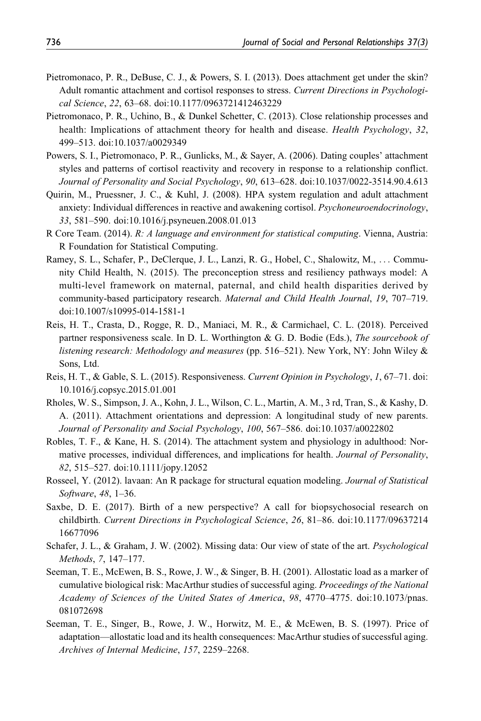- Pietromonaco, P. R., DeBuse, C. J., & Powers, S. I. (2013). Does attachment get under the skin? Adult romantic attachment and cortisol responses to stress. Current Directions in Psychological Science, 22, 63–68. doi:10.1177/0963721412463229
- Pietromonaco, P. R., Uchino, B., & Dunkel Schetter, C. (2013). Close relationship processes and health: Implications of attachment theory for health and disease. *Health Psychology*, 32, 499–513. doi:10.1037/a0029349
- Powers, S. I., Pietromonaco, P. R., Gunlicks, M., & Sayer, A. (2006). Dating couples' attachment styles and patterns of cortisol reactivity and recovery in response to a relationship conflict. Journal of Personality and Social Psychology, 90, 613–628. doi:10.1037/0022-3514.90.4.613
- Quirin, M., Pruessner, J. C., & Kuhl, J. (2008). HPA system regulation and adult attachment anxiety: Individual differences in reactive and awakening cortisol. Psychoneuroendocrinology, 33, 581–590. doi:10.1016/j.psyneuen.2008.01.013
- R Core Team. (2014). R: A language and environment for statistical computing. Vienna, Austria: R Foundation for Statistical Computing.
- Ramey, S. L., Schafer, P., DeClerque, J. L., Lanzi, R. G., Hobel, C., Shalowitz, M., ... Community Child Health, N. (2015). The preconception stress and resiliency pathways model: A multi-level framework on maternal, paternal, and child health disparities derived by community-based participatory research. Maternal and Child Health Journal, 19, 707-719. doi:10.1007/s10995-014-1581-1
- Reis, H. T., Crasta, D., Rogge, R. D., Maniaci, M. R., & Carmichael, C. L. (2018). Perceived partner responsiveness scale. In D. L. Worthington & G. D. Bodie (Eds.), The sourcebook of listening research: Methodology and measures (pp. 516–521). New York, NY: John Wiley & Sons, Ltd.
- Reis, H. T., & Gable, S. L. (2015). Responsiveness. Current Opinion in Psychology, 1, 67–71. doi: 10.1016/j.copsyc.2015.01.001
- Rholes, W. S., Simpson, J. A., Kohn, J. L., Wilson, C. L., Martin, A. M., 3 rd, Tran, S., & Kashy, D. A. (2011). Attachment orientations and depression: A longitudinal study of new parents. Journal of Personality and Social Psychology, 100, 567–586. doi:10.1037/a0022802
- Robles, T. F., & Kane, H. S. (2014). The attachment system and physiology in adulthood: Normative processes, individual differences, and implications for health. Journal of Personality, 82, 515–527. doi:10.1111/jopy.12052
- Rosseel, Y. (2012). lavaan: An R package for structural equation modeling. *Journal of Statistical* Software, 48, 1–36.
- Saxbe, D. E. (2017). Birth of a new perspective? A call for biopsychosocial research on childbirth. Current Directions in Psychological Science, 26, 81–86. doi:10.1177/09637214 16677096
- Schafer, J. L., & Graham, J. W. (2002). Missing data: Our view of state of the art. Psychological Methods, 7, 147–177.
- Seeman, T. E., McEwen, B. S., Rowe, J. W., & Singer, B. H. (2001). Allostatic load as a marker of cumulative biological risk: MacArthur studies of successful aging. Proceedings of the National Academy of Sciences of the United States of America, 98, 4770–4775. doi:10.1073/pnas. 081072698
- Seeman, T. E., Singer, B., Rowe, J. W., Horwitz, M. E., & McEwen, B. S. (1997). Price of adaptation—allostatic load and its health consequences: MacArthur studies of successful aging. Archives of Internal Medicine, 157, 2259–2268.